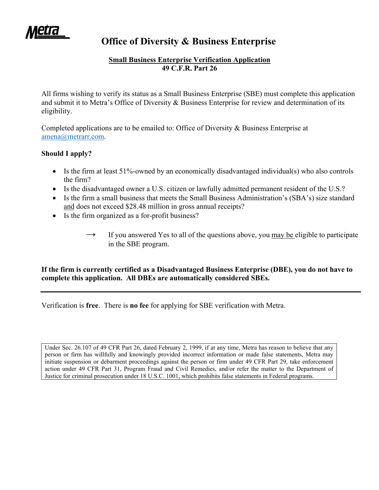eur

# **Office of Diversity & Business Enterprise**

## **Small Business Enterprise Verification Application 49 C.F.R. Part 26**

All firms wishing to verify its status as a Small Business Enterprise (SBE) must complete this application and submit it to Metra's Office of Diversity & Business Enterprise for review and determination of its eligibility.

Completed applications are to be emailed to: Office of Diversity & Business Enterprise at amena@metrarr.com.

## **Should I apply?**

- $\bullet$  Is the firm at least 51%-owned by an economically disadvantaged individual(s) who also controls the firm?
- Is the disadvantaged owner a U.S. citizen or lawfully admitted permanent resident of the U.S.?
- Is the firm a small business that meets the Small Business Administration's (SBA's) size standard and does not exceed \$28.48 million in gross annual receipts?
- Is the firm organized as a for-profit business?
	- If you answered Yes to all of the questions above, you may be eligible to participate in the SBE program.

**If the firm is currently certified as a Disadvantaged Business Enterprise (DBE), you do not have to complete this application. All DBEs are automatically considered SBEs.**

Verification is **free**. There is **no fee** for applying for SBE verification with Metra.

Under Sec. 26.107 of 49 CFR Part 26, dated February 2, 1999, if at any time, Metra has reason to believe that any person or firm has willfully and knowingly provided incorrect information or made false statements, Metra may initiate suspension or debarment proceedings against the person or firm under 49 CFR Part 29, take enforcement action under 49 CFR Part 31, Program Fraud and Civil Remedies, and/or refer the matter to the Department of Justice for criminal prosecution under 18 U.S.C. 1001, which prohibits false statements in Federal programs.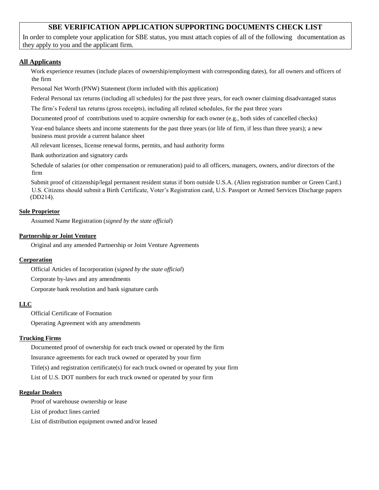## **SBE VERIFICATION APPLICATION SUPPORTING DOCUMENTS CHECK LIST**

In order to complete your application for SBE status, you must attach copies of all of the following documentation as they apply to you and the applicant firm.

### **All Applicants**

Work experience resumes (include places of ownership/employment with corresponding dates), for all owners and officers of the firm

Personal Net Worth (PNW) Statement (form included with this application)

Federal Personal tax returns (including all schedules) for the past three years, for each owner claiming disadvantaged status

The firm's Federal tax returns (gross receipts), including all related schedules, for the past three years

Documented proof of contributions used to acquire ownership for each owner (e.g., both sides of cancelled checks)

Year-end balance sheets and income statements for the past three years (or life of firm, if less than three years); a new business must provide a current balance sheet

All relevant licenses, license renewal forms, permits, and haul authority forms

Bank authorization and signatory cards

Schedule of salaries (or other compensation or remuneration) paid to all officers, managers, owners, and/or directors of the firm

Submit proof of citizenship/legal permanent resident status if born outside U.S.A. (Alien registration number or Green Card.) U.S. Citizens should submit a Birth Certificate, Voter's Registration card, U.S. Passport or Armed Services Discharge papers (DD214).

#### **Sole Proprietor**

□ Assumed Name Registration (*signed by the state official*)

#### **Partnership or Joint Venture**

Original and any amended Partnership or Joint Venture Agreements

#### **Corporation**

□ Official Articles of Incorporation (*signed by the state official*)

Corporate by-laws and any amendments

Corporate bank resolution and bank signature cards

## **LLC**

Official Certificate of Formation

Operating Agreement with any amendments

#### **Trucking Firms**

Documented proof of ownership for each truck owned or operated by the firm Insurance agreements for each truck owned or operated by your firm Title(s) and registration certificate(s) for each truck owned or operated by your firm List of U.S. DOT numbers for each truck owned or operated by your firm

#### **Regular Dealers**

Proof of warehouse ownership or lease List of product lines carried List of distribution equipment owned and/or leased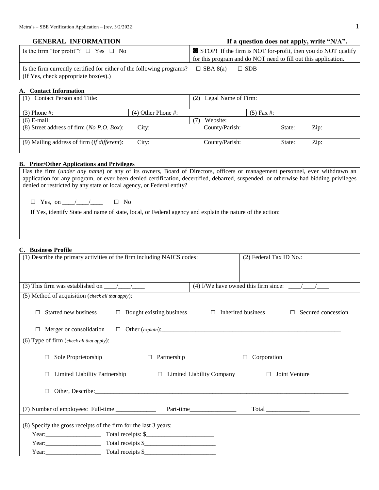| <b>GENERAL INFORMATION</b> | If a question does not apply, write "N/A". |
|----------------------------|--------------------------------------------|
|                            |                                            |

| Is the firm "for profit"? $\Box$ Yes $\Box$ No                                        | $\Box$ STOP! If the firm is NOT for-profit, then you do NOT qualify |  |
|---------------------------------------------------------------------------------------|---------------------------------------------------------------------|--|
|                                                                                       | for this program and do NOT need to fill out this application.      |  |
| Is the firm currently certified for either of the following programs? $\Box$ SBA 8(a) | $\Box$ SDB                                                          |  |
| If Yes, check appropriate box(es).)                                                   |                                                                     |  |

#### **A. Contact Information**

| Contact Person and Title:                              |                      | Legal Name of Firm:<br>(2) |              |        |      |
|--------------------------------------------------------|----------------------|----------------------------|--------------|--------|------|
|                                                        |                      |                            |              |        |      |
| $(3)$ Phone #:                                         | $(4)$ Other Phone #: |                            | $(5)$ Fax #: |        |      |
| $(6)$ E-mail:                                          |                      | Website:                   |              |        |      |
| (8) Street address of firm ( $No\ P.O. \ Box$ ):       | City:                | County/Parish:             |              | State: | Zip: |
| $(9)$ Mailing address of firm ( <i>if different</i> ): | City:                | County/Parish:             |              | State: | Zip: |

#### **B. Prior/Other Applications and Privileges**

Has the firm (*under any name*) or any of its owners, Board of Directors, officers or management personnel, ever withdrawn an application for any program, or ever been denied certification, decertified, debarred, suspended, or otherwise had bidding privileges denied or restricted by any state or local agency, or Federal entity?

 $\square$  Yes, on  $\angle$  /  $\angle$   $\square$  No

If Yes, identify State and name of state, local, or Federal agency and explain the nature of the action:

#### **C. Business Profile**

| (4) I/We have owned this firm since: $\frac{\sqrt{1-\frac{1}{2}}}{\sqrt{1-\frac{1}{2}}}$<br>(5) Method of acquisition (check all that apply):<br>Started new business<br>$\Box$ Bought existing business $\Box$ Inherited business<br>$\Box$ Secured concession<br>П<br>Merger or consolidation<br>$\Box$ Other $(explain)$ :<br>П<br>(6) Type of firm (check all that apply):<br>Sole Proprietorship<br>$\Box$ Partnership<br>$\Box$ Corporation<br>$\Box$<br>Limited Liability Partnership $\Box$ Limited Liability Company<br>Joint Venture<br>$\Box$<br>$\Box$<br>(8) Specify the gross receipts of the firm for the last 3 years:<br>Year: $\frac{1}{2}$ Total receipts \$ | (1) Describe the primary activities of the firm including NAICS codes: | (2) Federal Tax ID No.: |
|---------------------------------------------------------------------------------------------------------------------------------------------------------------------------------------------------------------------------------------------------------------------------------------------------------------------------------------------------------------------------------------------------------------------------------------------------------------------------------------------------------------------------------------------------------------------------------------------------------------------------------------------------------------------------------|------------------------------------------------------------------------|-------------------------|
|                                                                                                                                                                                                                                                                                                                                                                                                                                                                                                                                                                                                                                                                                 |                                                                        |                         |
|                                                                                                                                                                                                                                                                                                                                                                                                                                                                                                                                                                                                                                                                                 |                                                                        |                         |
|                                                                                                                                                                                                                                                                                                                                                                                                                                                                                                                                                                                                                                                                                 |                                                                        |                         |
|                                                                                                                                                                                                                                                                                                                                                                                                                                                                                                                                                                                                                                                                                 |                                                                        |                         |
|                                                                                                                                                                                                                                                                                                                                                                                                                                                                                                                                                                                                                                                                                 |                                                                        |                         |
|                                                                                                                                                                                                                                                                                                                                                                                                                                                                                                                                                                                                                                                                                 |                                                                        |                         |
|                                                                                                                                                                                                                                                                                                                                                                                                                                                                                                                                                                                                                                                                                 |                                                                        |                         |
|                                                                                                                                                                                                                                                                                                                                                                                                                                                                                                                                                                                                                                                                                 |                                                                        |                         |
|                                                                                                                                                                                                                                                                                                                                                                                                                                                                                                                                                                                                                                                                                 |                                                                        |                         |
|                                                                                                                                                                                                                                                                                                                                                                                                                                                                                                                                                                                                                                                                                 |                                                                        |                         |
|                                                                                                                                                                                                                                                                                                                                                                                                                                                                                                                                                                                                                                                                                 |                                                                        |                         |
|                                                                                                                                                                                                                                                                                                                                                                                                                                                                                                                                                                                                                                                                                 |                                                                        |                         |
|                                                                                                                                                                                                                                                                                                                                                                                                                                                                                                                                                                                                                                                                                 |                                                                        |                         |
|                                                                                                                                                                                                                                                                                                                                                                                                                                                                                                                                                                                                                                                                                 |                                                                        |                         |
|                                                                                                                                                                                                                                                                                                                                                                                                                                                                                                                                                                                                                                                                                 |                                                                        |                         |
|                                                                                                                                                                                                                                                                                                                                                                                                                                                                                                                                                                                                                                                                                 | Year: Total receipts \$                                                |                         |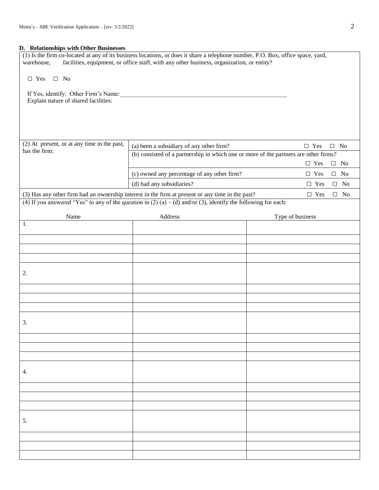## **D. Relationships with Other Businesses**

| warehouse,                                                                   | (1) Is the firm co-located at any of its business locations, or does it share a telephone number, P.O. Box, office space, yard,<br>facilities, equipment, or office staff, with any other business, organization, or entity? |                                   |
|------------------------------------------------------------------------------|------------------------------------------------------------------------------------------------------------------------------------------------------------------------------------------------------------------------------|-----------------------------------|
| $\Box$ Yes<br>$\Box$ No                                                      |                                                                                                                                                                                                                              |                                   |
| If Yes, identify: Other Firm's Name:<br>Explain nature of shared facilities: |                                                                                                                                                                                                                              |                                   |
| (2) At present, or at any time in the past,                                  | (a) been a subsidiary of any other firm?                                                                                                                                                                                     | $\Box$ Yes<br>$\hfill\Box\;\; No$ |
| has the firm:                                                                | (b) consisted of a partnership in which one or more of the partners are other firms?                                                                                                                                         |                                   |
|                                                                              |                                                                                                                                                                                                                              | $\Box$ Yes<br>No<br>$\Box$        |
|                                                                              | (c) owned any percentage of any other firm?                                                                                                                                                                                  | $\Box$ Yes<br>$\Box$ No           |
|                                                                              | (d) had any subsidiaries?                                                                                                                                                                                                    | $\Box$ Yes<br>No<br>$\Box$        |
|                                                                              | (3) Has any other firm had an ownership interest in the firm at present or any time in the past?<br>(4) If you answered "Yes" to any of the question in (2) (a) – (d) and/or (3), identify the following for each:           | $\Box$ Yes<br>$\hfill\Box\;\; No$ |
|                                                                              |                                                                                                                                                                                                                              |                                   |
| Name<br>1.                                                                   | Address                                                                                                                                                                                                                      | Type of business                  |
|                                                                              |                                                                                                                                                                                                                              |                                   |
|                                                                              |                                                                                                                                                                                                                              |                                   |
|                                                                              |                                                                                                                                                                                                                              |                                   |
|                                                                              |                                                                                                                                                                                                                              |                                   |
| 2.                                                                           |                                                                                                                                                                                                                              |                                   |
|                                                                              |                                                                                                                                                                                                                              |                                   |
|                                                                              |                                                                                                                                                                                                                              |                                   |
|                                                                              |                                                                                                                                                                                                                              |                                   |
| 3.                                                                           |                                                                                                                                                                                                                              |                                   |
|                                                                              |                                                                                                                                                                                                                              |                                   |
|                                                                              |                                                                                                                                                                                                                              |                                   |
|                                                                              |                                                                                                                                                                                                                              |                                   |
| 4.                                                                           |                                                                                                                                                                                                                              |                                   |
|                                                                              |                                                                                                                                                                                                                              |                                   |
|                                                                              |                                                                                                                                                                                                                              |                                   |
|                                                                              |                                                                                                                                                                                                                              |                                   |
| 5.                                                                           |                                                                                                                                                                                                                              |                                   |
|                                                                              |                                                                                                                                                                                                                              |                                   |
|                                                                              |                                                                                                                                                                                                                              |                                   |
|                                                                              |                                                                                                                                                                                                                              |                                   |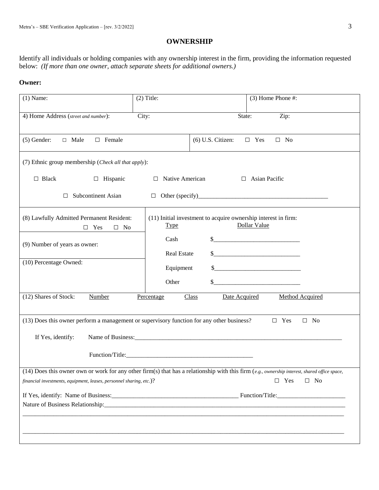## **OWNERSHIP**

Identify all individuals or holding companies with any ownership interest in the firm, providing the information requested below: *(If more than one owner, attach separate sheets for additional owners.)*

## **Owner:**

| $(1)$ Name:                                                                                                    | $(2)$ Title:               | $(3)$ Home Phone #:                                                                                                                                                                                                                                                                                                                                                                                     |
|----------------------------------------------------------------------------------------------------------------|----------------------------|---------------------------------------------------------------------------------------------------------------------------------------------------------------------------------------------------------------------------------------------------------------------------------------------------------------------------------------------------------------------------------------------------------|
| 4) Home Address (street and number):                                                                           | City:                      | $\overline{Zip: }$<br>State:                                                                                                                                                                                                                                                                                                                                                                            |
| $\Box$ Female<br>$(5)$ Gender:<br>$\Box$ Male                                                                  |                            | $\Box$ Yes<br>$(6)$ U.S. Citizen:<br>$\Box$ No                                                                                                                                                                                                                                                                                                                                                          |
| (7) Ethnic group membership (Check all that apply):                                                            |                            |                                                                                                                                                                                                                                                                                                                                                                                                         |
| $\Box$ Black<br>□ Hispanic                                                                                     | $\Box$ Native American     | $\Box$ Asian Pacific                                                                                                                                                                                                                                                                                                                                                                                    |
| <b>Subcontinent Asian</b><br>□                                                                                 |                            |                                                                                                                                                                                                                                                                                                                                                                                                         |
| (8) Lawfully Admitted Permanent Resident:<br>$\Box$ Yes<br>$\Box$ No                                           | <b>Type</b>                | (11) Initial investment to acquire ownership interest in firm:<br>Dollar Value                                                                                                                                                                                                                                                                                                                          |
| (9) Number of years as owner:                                                                                  | Cash<br><b>Real Estate</b> | $\frac{1}{2}$                                                                                                                                                                                                                                                                                                                                                                                           |
| (10) Percentage Owned:                                                                                         | Equipment<br>Other         | $\frac{\frac{1}{2} + \frac{1}{2} + \frac{1}{2} + \frac{1}{2} + \frac{1}{2} + \frac{1}{2} + \frac{1}{2} + \frac{1}{2} + \frac{1}{2} + \frac{1}{2} + \frac{1}{2} + \frac{1}{2} + \frac{1}{2} + \frac{1}{2} + \frac{1}{2} + \frac{1}{2} + \frac{1}{2} + \frac{1}{2} + \frac{1}{2} + \frac{1}{2} + \frac{1}{2} + \frac{1}{2} + \frac{1}{2} + \frac{1}{2} + \frac{1}{2} + \frac{1}{2} + \frac{1}{2} + \frac$ |
| (12) Shares of Stock:<br>Number                                                                                | Percentage                 | Class<br><b>Method Acquired</b><br>Date Acquired                                                                                                                                                                                                                                                                                                                                                        |
| (13) Does this owner perform a management or supervisory function for any other business?<br>If Yes, identify: |                            | $\Box$ Yes<br>$\Box$ No<br>Function/Title:                                                                                                                                                                                                                                                                                                                                                              |
|                                                                                                                |                            | (14) Does this owner own or work for any other firm(s) that has a relationship with this firm (e.g., ownership interest, shared office space,                                                                                                                                                                                                                                                           |
| financial investments, equipment, leases, personnel sharing, etc.)?                                            |                            | $\square$ No<br>$\Box$ Yes                                                                                                                                                                                                                                                                                                                                                                              |
|                                                                                                                |                            |                                                                                                                                                                                                                                                                                                                                                                                                         |
|                                                                                                                |                            |                                                                                                                                                                                                                                                                                                                                                                                                         |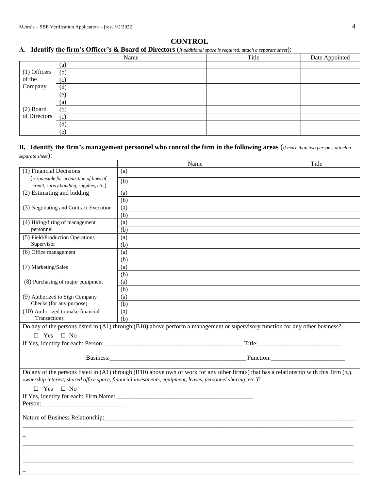## **CONTROL**

## **A. Identify the firm's Officer's & Board of Directors** (*If additional space is required, attach a separate sheet*):

|                           | Name              | Title | Date Appointed |
|---------------------------|-------------------|-------|----------------|
|                           | (a)               |       |                |
| $(1)$ Officers            | (b)               |       |                |
| of the                    | (c)               |       |                |
| Company                   | (d)               |       |                |
|                           | (e)               |       |                |
|                           | $\left( a\right)$ |       |                |
| (2) Board<br>of Directors | (b)               |       |                |
|                           | (c)               |       |                |
|                           | (d)               |       |                |
|                           | (e)               |       |                |

## **B. Identify the firm's management personnel who control the firm in the following areas** (*If more than two persons, attach a separate sheet*):

|                                          | Name                                                                                                                                    | Title |  |  |
|------------------------------------------|-----------------------------------------------------------------------------------------------------------------------------------------|-------|--|--|
| (1) Financial Decisions                  | (a)                                                                                                                                     |       |  |  |
| (responsible for acquisition of lines of | (b)                                                                                                                                     |       |  |  |
| credit, surety bonding, supplies, etc.)  |                                                                                                                                         |       |  |  |
| (2) Estimating and bidding               | (a)                                                                                                                                     |       |  |  |
|                                          | (b)                                                                                                                                     |       |  |  |
| (3) Negotiating and Contract Execution   | (a)                                                                                                                                     |       |  |  |
|                                          | (b)                                                                                                                                     |       |  |  |
| (4) Hiring/firing of management          | (a)                                                                                                                                     |       |  |  |
| personnel                                | (b)                                                                                                                                     |       |  |  |
| (5) Field/Production Operations          | (a)                                                                                                                                     |       |  |  |
| Supervisor                               | (b)                                                                                                                                     |       |  |  |
| (6) Office management                    | (a)                                                                                                                                     |       |  |  |
|                                          | (b)                                                                                                                                     |       |  |  |
| (7) Marketing/Sales                      | (a)                                                                                                                                     |       |  |  |
|                                          | (b)                                                                                                                                     |       |  |  |
| (8) Purchasing of major equipment        | (a)                                                                                                                                     |       |  |  |
|                                          | (b)                                                                                                                                     |       |  |  |
| (9) Authorized to Sign Company           | (a)                                                                                                                                     |       |  |  |
| Checks (for any purpose)                 | (b)                                                                                                                                     |       |  |  |
| (10) Authorized to make financial        | (a)                                                                                                                                     |       |  |  |
| <b>Transactions</b>                      | (b)                                                                                                                                     |       |  |  |
|                                          | Do any of the persons listed in $(A1)$ through $(B10)$ above perform a management or supervisory function for any other business?       |       |  |  |
| $\Box$ Yes $\Box$ No                     |                                                                                                                                         |       |  |  |
|                                          |                                                                                                                                         |       |  |  |
|                                          |                                                                                                                                         |       |  |  |
|                                          |                                                                                                                                         |       |  |  |
|                                          |                                                                                                                                         |       |  |  |
|                                          | Do any of the persons listed in (A1) through (B10) above own or work for any other firm(s) that has a relationship with this firm (e.g. |       |  |  |
|                                          | ownership interest, shared office space, financial investments, equipment, leases, personnel sharing, etc.)?                            |       |  |  |
| $\Box$ Yes $\Box$ No                     |                                                                                                                                         |       |  |  |
|                                          | If Yes, identify for each: Firm Name:                                                                                                   |       |  |  |
|                                          |                                                                                                                                         |       |  |  |
|                                          |                                                                                                                                         |       |  |  |
|                                          |                                                                                                                                         |       |  |  |
|                                          |                                                                                                                                         |       |  |  |
|                                          |                                                                                                                                         |       |  |  |
|                                          |                                                                                                                                         |       |  |  |
|                                          |                                                                                                                                         |       |  |  |
|                                          |                                                                                                                                         |       |  |  |
|                                          |                                                                                                                                         |       |  |  |
|                                          |                                                                                                                                         |       |  |  |
|                                          |                                                                                                                                         |       |  |  |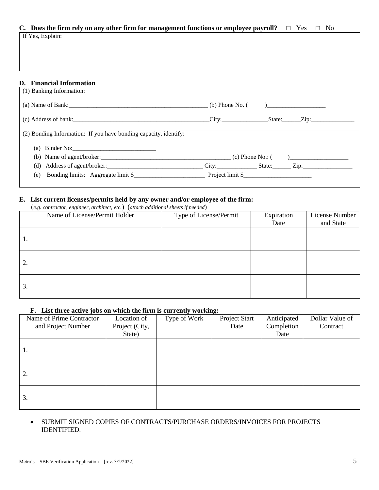## **C.** Does the firm rely on any other firm for management functions or employee payroll? □ Yes □ No

If Yes, Explain:

## **D. Financial Information**

| $(b)$ Phone No. $($<br>) and the contract of $\overline{\phantom{a}}$ |
|-----------------------------------------------------------------------|
| City: State: Zip:                                                     |
|                                                                       |
|                                                                       |
|                                                                       |
| Address of agent/broker:                                              |
|                                                                       |
|                                                                       |

## **E. List current licenses/permits held by any owner and/or employee of the firm:**

(*e.g. contractor, engineer, architect, etc.*) (*attach additional sheets if needed*)

| $\sim$ $\sigma$<br>Name of License/Permit Holder | Type of License/Permit | Expiration | License Number |
|--------------------------------------------------|------------------------|------------|----------------|
|                                                  |                        | Date       | and State      |
| Ι.                                               |                        |            |                |
|                                                  |                        |            |                |
|                                                  |                        |            |                |
| 2.                                               |                        |            |                |
|                                                  |                        |            |                |
| 3.                                               |                        |            |                |
|                                                  |                        |            |                |

## **F. List three active jobs on which the firm is currently working:**

| Name of Prime Contractor | Location of    | Type of Work | $\sim$<br>Project Start | Anticipated | Dollar Value of |
|--------------------------|----------------|--------------|-------------------------|-------------|-----------------|
| and Project Number       | Project (City, |              | Date                    | Completion  | Contract        |
|                          | State)         |              |                         | Date        |                 |
|                          |                |              |                         |             |                 |
| 1.                       |                |              |                         |             |                 |
|                          |                |              |                         |             |                 |
|                          |                |              |                         |             |                 |
| 2.                       |                |              |                         |             |                 |
|                          |                |              |                         |             |                 |
|                          |                |              |                         |             |                 |
| 3.                       |                |              |                         |             |                 |
|                          |                |              |                         |             |                 |

## SUBMIT SIGNED COPIES OF CONTRACTS/PURCHASE ORDERS/INVOICES FOR PROJECTS IDENTIFIED.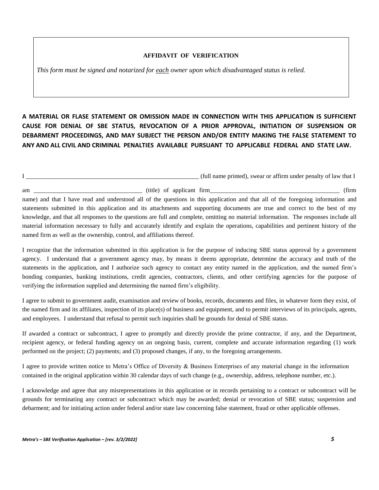#### **AFFIDAVIT OF VERIFICATION**

*This form must be signed and notarized for each owner upon which disadvantaged status is relied.*

**A MATERIAL OR FLASE STATEMENT OR OMISSION MADE IN CONNECTION WITH THIS APPLICATION IS SUFFICIENT CAUSE FOR DENIAL OF SBE STATUS, REVOCATION OF A PRIOR APPROVAL, INITIATION OF SUSPENSION OR DEBARMENT PROCEEDINGS, AND MAY SUBJECT THE PERSON AND/OR ENTITY MAKING THE FALSE STATEMENT TO ANY AND ALL CIVIL AND CRIMINAL PENALTIES AVAILABLE PURSUANT TO APPLICABLE FEDERAL AND STATE LAW.** 

I consider the same printed), swear or affirm under penalty of law that I

am \_\_\_\_\_\_\_\_\_\_\_\_\_\_\_\_\_\_\_\_\_\_\_\_\_\_\_\_\_\_\_\_\_\_\_ (title) of applicant firm\_\_\_\_\_\_\_\_\_\_\_\_\_\_\_\_\_\_\_\_\_\_\_\_\_\_\_\_\_\_\_\_\_\_\_\_\_\_\_\_\_\_ (firm name) and that I have read and understood all of the questions in this application and that all of the foregoing information and statements submitted in this application and its attachments and supporting documents are true and correct to the best of my knowledge, and that all responses to the questions are full and complete, omitting no material information. The responses include all material information necessary to fully and accurately identify and explain the operations, capabilities and pertinent history of the named firm as well as the ownership, control, and affiliations thereof.

I recognize that the information submitted in this application is for the purpose of inducing SBE status approval by a government agency. I understand that a government agency may, by means it deems appropriate, determine the accuracy and truth of the statements in the application, and I authorize such agency to contact any entity named in the application, and the named firm's bonding companies, banking institutions, credit agencies, contractors, clients, and other certifying agencies for the purpose of verifying the information supplied and determining the named firm's eligibility.

I agree to submit to government audit, examination and review of books, records, documents and files, in whatever form they exist, of the named firm and its affiliates, inspection of its place(s) of business and equipment, and to permit interviews of its principals, agents, and employees. I understand that refusal to permit such inquiries shall be grounds for denial of SBE status.

If awarded a contract or subcontract, I agree to promptly and directly provide the prime contractor, if any, and the Department, recipient agency, or federal funding agency on an ongoing basis, current, complete and accurate information regarding (1) work performed on the project; (2) payments; and (3) proposed changes, if any, to the foregoing arrangements.

I agree to provide written notice to Metra's Office of Diversity & Business Enterprises of any material change in the information contained in the original application within 30 calendar days of such change (e.g., ownership, address, telephone number, etc.).

I acknowledge and agree that any misrepresentations in this application or in records pertaining to a contract or subcontract will be grounds for terminating any contract or subcontract which may be awarded; denial or revocation of SBE status; suspension and debarment; and for initiating action under federal and/or state law concerning false statement, fraud or other applicable offenses.